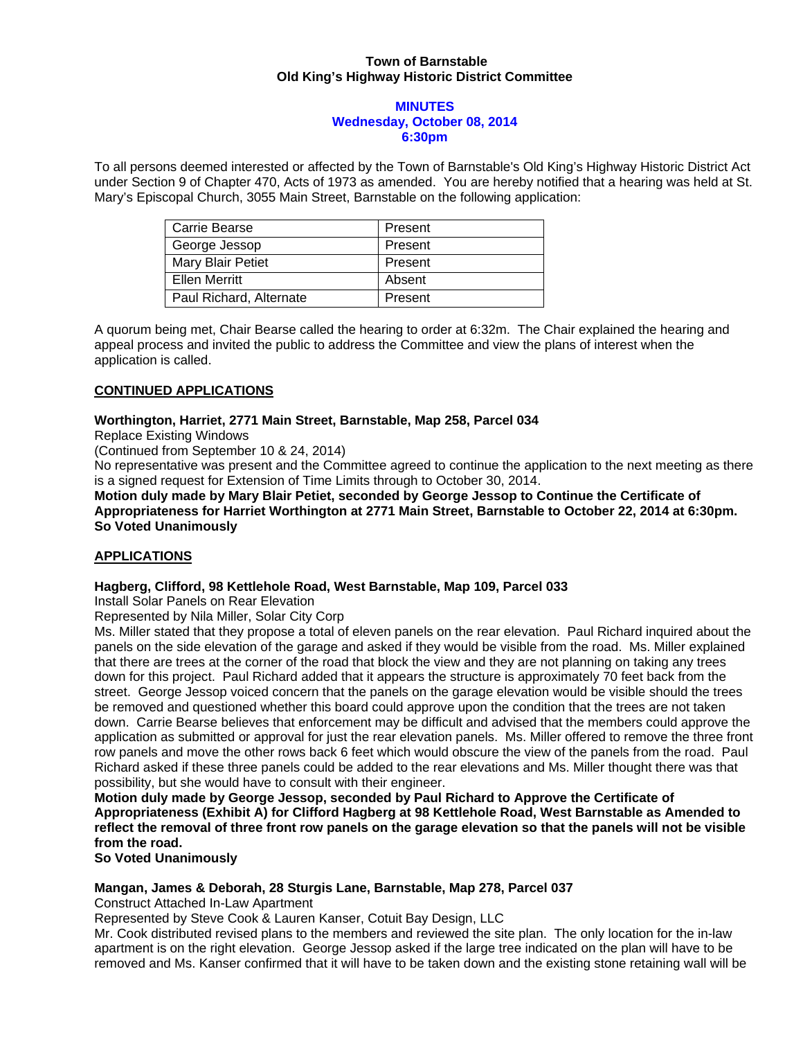## **Town of Barnstable Old King's Highway Historic District Committee**

#### **MINUTES Wednesday, October 08, 2014 6:30pm**

To all persons deemed interested or affected by the Town of Barnstable's Old King's Highway Historic District Act under Section 9 of Chapter 470, Acts of 1973 as amended. You are hereby notified that a hearing was held at St. Mary's Episcopal Church, 3055 Main Street, Barnstable on the following application:

| Carrie Bearse            | Present |
|--------------------------|---------|
| George Jessop            | Present |
| <b>Mary Blair Petiet</b> | Present |
| <b>Ellen Merritt</b>     | Absent  |
| Paul Richard, Alternate  | Present |

A quorum being met, Chair Bearse called the hearing to order at 6:32m. The Chair explained the hearing and appeal process and invited the public to address the Committee and view the plans of interest when the application is called.

# **CONTINUED APPLICATIONS**

## **Worthington, Harriet, 2771 Main Street, Barnstable, Map 258, Parcel 034**

Replace Existing Windows

(Continued from September 10 & 24, 2014)

No representative was present and the Committee agreed to continue the application to the next meeting as there is a signed request for Extension of Time Limits through to October 30, 2014.

**Motion duly made by Mary Blair Petiet, seconded by George Jessop to Continue the Certificate of Appropriateness for Harriet Worthington at 2771 Main Street, Barnstable to October 22, 2014 at 6:30pm. So Voted Unanimously** 

# **APPLICATIONS**

## **Hagberg, Clifford, 98 Kettlehole Road, West Barnstable, Map 109, Parcel 033**

Install Solar Panels on Rear Elevation

Represented by Nila Miller, Solar City Corp

Ms. Miller stated that they propose a total of eleven panels on the rear elevation. Paul Richard inquired about the panels on the side elevation of the garage and asked if they would be visible from the road. Ms. Miller explained that there are trees at the corner of the road that block the view and they are not planning on taking any trees down for this project. Paul Richard added that it appears the structure is approximately 70 feet back from the street. George Jessop voiced concern that the panels on the garage elevation would be visible should the trees be removed and questioned whether this board could approve upon the condition that the trees are not taken down. Carrie Bearse believes that enforcement may be difficult and advised that the members could approve the application as submitted or approval for just the rear elevation panels. Ms. Miller offered to remove the three front row panels and move the other rows back 6 feet which would obscure the view of the panels from the road. Paul Richard asked if these three panels could be added to the rear elevations and Ms. Miller thought there was that possibility, but she would have to consult with their engineer.

**Motion duly made by George Jessop, seconded by Paul Richard to Approve the Certificate of Appropriateness (Exhibit A) for Clifford Hagberg at 98 Kettlehole Road, West Barnstable as Amended to reflect the removal of three front row panels on the garage elevation so that the panels will not be visible from the road.** 

**So Voted Unanimously** 

### **Mangan, James & Deborah, 28 Sturgis Lane, Barnstable, Map 278, Parcel 037**

Construct Attached In-Law Apartment

Represented by Steve Cook & Lauren Kanser, Cotuit Bay Design, LLC

Mr. Cook distributed revised plans to the members and reviewed the site plan. The only location for the in-law apartment is on the right elevation. George Jessop asked if the large tree indicated on the plan will have to be removed and Ms. Kanser confirmed that it will have to be taken down and the existing stone retaining wall will be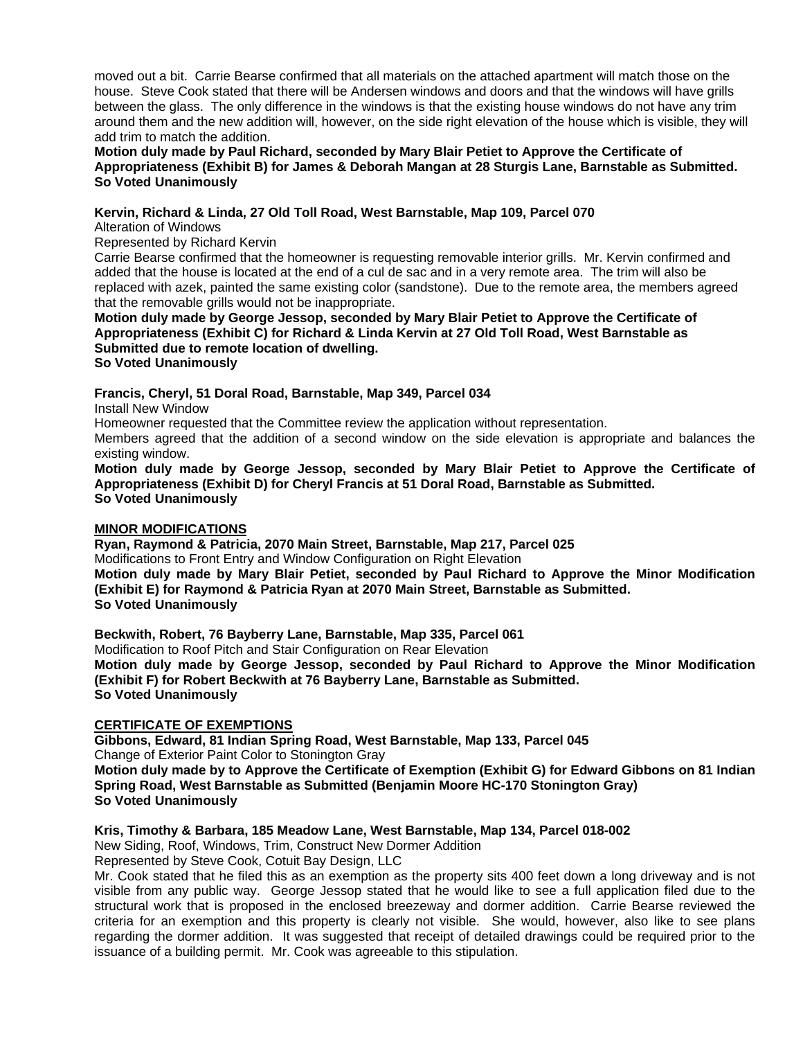moved out a bit. Carrie Bearse confirmed that all materials on the attached apartment will match those on the house. Steve Cook stated that there will be Andersen windows and doors and that the windows will have grills between the glass. The only difference in the windows is that the existing house windows do not have any trim around them and the new addition will, however, on the side right elevation of the house which is visible, they will add trim to match the addition.

### **Motion duly made by Paul Richard, seconded by Mary Blair Petiet to Approve the Certificate of Appropriateness (Exhibit B) for James & Deborah Mangan at 28 Sturgis Lane, Barnstable as Submitted. So Voted Unanimously**

## **Kervin, Richard & Linda, 27 Old Toll Road, West Barnstable, Map 109, Parcel 070**

Alteration of Windows

Represented by Richard Kervin

Carrie Bearse confirmed that the homeowner is requesting removable interior grills. Mr. Kervin confirmed and added that the house is located at the end of a cul de sac and in a very remote area. The trim will also be replaced with azek, painted the same existing color (sandstone). Due to the remote area, the members agreed that the removable grills would not be inappropriate.

**Motion duly made by George Jessop, seconded by Mary Blair Petiet to Approve the Certificate of Appropriateness (Exhibit C) for Richard & Linda Kervin at 27 Old Toll Road, West Barnstable as Submitted due to remote location of dwelling.** 

**So Voted Unanimously** 

### **Francis, Cheryl, 51 Doral Road, Barnstable, Map 349, Parcel 034**

Install New Window

Homeowner requested that the Committee review the application without representation.

Members agreed that the addition of a second window on the side elevation is appropriate and balances the existing window.

**Motion duly made by George Jessop, seconded by Mary Blair Petiet to Approve the Certificate of Appropriateness (Exhibit D) for Cheryl Francis at 51 Doral Road, Barnstable as Submitted. So Voted Unanimously** 

### **MINOR MODIFICATIONS**

**Ryan, Raymond & Patricia, 2070 Main Street, Barnstable, Map 217, Parcel 025** 

Modifications to Front Entry and Window Configuration on Right Elevation

**Motion duly made by Mary Blair Petiet, seconded by Paul Richard to Approve the Minor Modification (Exhibit E) for Raymond & Patricia Ryan at 2070 Main Street, Barnstable as Submitted. So Voted Unanimously** 

**Beckwith, Robert, 76 Bayberry Lane, Barnstable, Map 335, Parcel 061** 

Modification to Roof Pitch and Stair Configuration on Rear Elevation

**Motion duly made by George Jessop, seconded by Paul Richard to Approve the Minor Modification (Exhibit F) for Robert Beckwith at 76 Bayberry Lane, Barnstable as Submitted. So Voted Unanimously** 

### **CERTIFICATE OF EXEMPTIONS**

**Gibbons, Edward, 81 Indian Spring Road, West Barnstable, Map 133, Parcel 045**  Change of Exterior Paint Color to Stonington Gray

**Motion duly made by to Approve the Certificate of Exemption (Exhibit G) for Edward Gibbons on 81 Indian Spring Road, West Barnstable as Submitted (Benjamin Moore HC-170 Stonington Gray) So Voted Unanimously** 

### **Kris, Timothy & Barbara, 185 Meadow Lane, West Barnstable, Map 134, Parcel 018-002**

New Siding, Roof, Windows, Trim, Construct New Dormer Addition

Represented by Steve Cook, Cotuit Bay Design, LLC

Mr. Cook stated that he filed this as an exemption as the property sits 400 feet down a long driveway and is not visible from any public way. George Jessop stated that he would like to see a full application filed due to the structural work that is proposed in the enclosed breezeway and dormer addition. Carrie Bearse reviewed the criteria for an exemption and this property is clearly not visible. She would, however, also like to see plans regarding the dormer addition. It was suggested that receipt of detailed drawings could be required prior to the issuance of a building permit. Mr. Cook was agreeable to this stipulation.